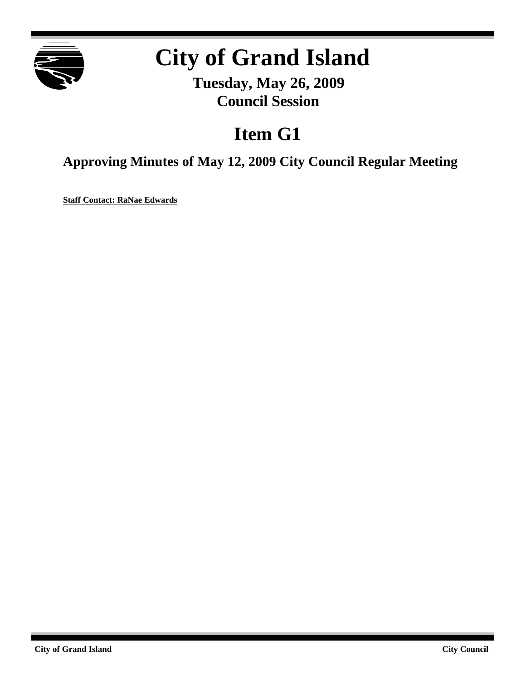

# **City of Grand Island**

**Tuesday, May 26, 2009 Council Session**

# **Item G1**

**Approving Minutes of May 12, 2009 City Council Regular Meeting**

**Staff Contact: RaNae Edwards**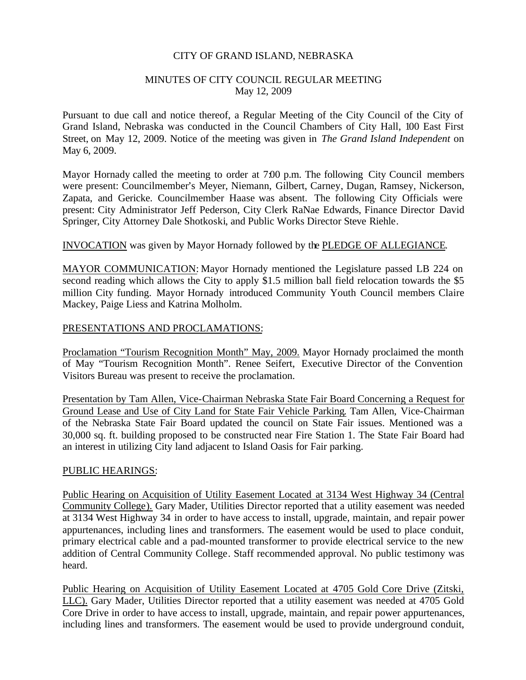#### CITY OF GRAND ISLAND, NEBRASKA

#### MINUTES OF CITY COUNCIL REGULAR MEETING May 12, 2009

Pursuant to due call and notice thereof, a Regular Meeting of the City Council of the City of Grand Island, Nebraska was conducted in the Council Chambers of City Hall, 100 East First Street, on May 12, 2009. Notice of the meeting was given in *The Grand Island Independent* on May 6, 2009.

Mayor Hornady called the meeting to order at 7:00 p.m. The following City Council members were present: Councilmember's Meyer, Niemann, Gilbert, Carney, Dugan, Ramsey, Nickerson, Zapata, and Gericke. Councilmember Haase was absent. The following City Officials were present: City Administrator Jeff Pederson, City Clerk RaNae Edwards, Finance Director David Springer, City Attorney Dale Shotkoski, and Public Works Director Steve Riehle.

#### INVOCATION was given by Mayor Hornady followed by the PLEDGE OF ALLEGIANCE.

MAYOR COMMUNICATION: Mayor Hornady mentioned the Legislature passed LB 224 on second reading which allows the City to apply \$1.5 million ball field relocation towards the \$5 million City funding. Mayor Hornady introduced Community Youth Council members Claire Mackey, Paige Liess and Katrina Molholm.

### PRESENTATIONS AND PROCLAMATIONS:

Proclamation "Tourism Recognition Month" May, 2009. Mayor Hornady proclaimed the month of May "Tourism Recognition Month". Renee Seifert, Executive Director of the Convention Visitors Bureau was present to receive the proclamation.

Presentation by Tam Allen, Vice-Chairman Nebraska State Fair Board Concerning a Request for Ground Lease and Use of City Land for State Fair Vehicle Parking. Tam Allen, Vice-Chairman of the Nebraska State Fair Board updated the council on State Fair issues. Mentioned was a 30,000 sq. ft. building proposed to be constructed near Fire Station 1. The State Fair Board had an interest in utilizing City land adjacent to Island Oasis for Fair parking.

#### PUBLIC HEARINGS:

Public Hearing on Acquisition of Utility Easement Located at 3134 West Highway 34 (Central Community College). Gary Mader, Utilities Director reported that a utility easement was needed at 3134 West Highway 34 in order to have access to install, upgrade, maintain, and repair power appurtenances, including lines and transformers. The easement would be used to place conduit, primary electrical cable and a pad-mounted transformer to provide electrical service to the new addition of Central Community College. Staff recommended approval. No public testimony was heard.

Public Hearing on Acquisition of Utility Easement Located at 4705 Gold Core Drive (Zitski, LLC). Gary Mader, Utilities Director reported that a utility easement was needed at 4705 Gold Core Drive in order to have access to install, upgrade, maintain, and repair power appurtenances, including lines and transformers. The easement would be used to provide underground conduit,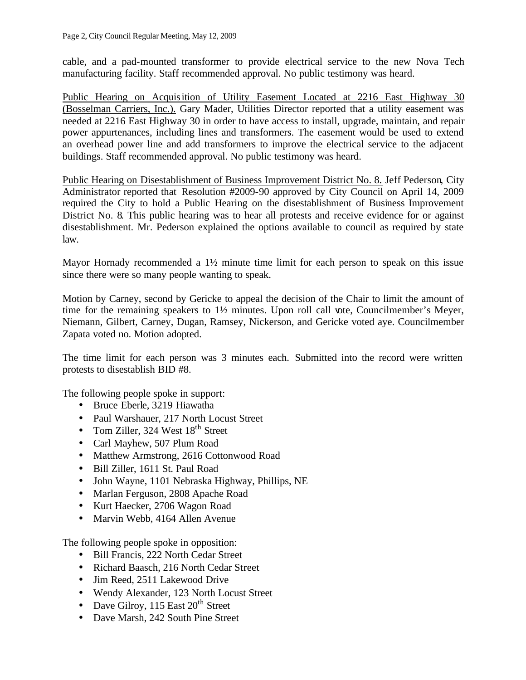cable, and a pad-mounted transformer to provide electrical service to the new Nova Tech manufacturing facility. Staff recommended approval. No public testimony was heard.

Public Hearing on Acquisition of Utility Easement Located at 2216 East Highway 30 (Bosselman Carriers, Inc.). Gary Mader, Utilities Director reported that a utility easement was needed at 2216 East Highway 30 in order to have access to install, upgrade, maintain, and repair power appurtenances, including lines and transformers. The easement would be used to extend an overhead power line and add transformers to improve the electrical service to the adjacent buildings. Staff recommended approval. No public testimony was heard.

Public Hearing on Disestablishment of Business Improvement District No. 8. Jeff Pederson, City Administrator reported that Resolution #2009-90 approved by City Council on April 14, 2009 required the City to hold a Public Hearing on the disestablishment of Business Improvement District No. 8. This public hearing was to hear all protests and receive evidence for or against disestablishment. Mr. Pederson explained the options available to council as required by state law.

Mayor Hornady recommended a 1½ minute time limit for each person to speak on this issue since there were so many people wanting to speak.

Motion by Carney, second by Gericke to appeal the decision of the Chair to limit the amount of time for the remaining speakers to 1½ minutes. Upon roll call vote, Councilmember's Meyer, Niemann, Gilbert, Carney, Dugan, Ramsey, Nickerson, and Gericke voted aye. Councilmember Zapata voted no. Motion adopted.

The time limit for each person was 3 minutes each. Submitted into the record were written protests to disestablish BID #8.

The following people spoke in support:

- Bruce Eberle, 3219 Hiawatha
- Paul Warshauer, 217 North Locust Street
- Tom Ziller, 324 West  $18<sup>th</sup>$  Street
- Carl Mayhew, 507 Plum Road
- Matthew Armstrong, 2616 Cottonwood Road
- Bill Ziller, 1611 St. Paul Road
- John Wayne, 1101 Nebraska Highway, Phillips, NE
- Marlan Ferguson, 2808 Apache Road
- Kurt Haecker, 2706 Wagon Road
- Marvin Webb, 4164 Allen Avenue

The following people spoke in opposition:

- Bill Francis, 222 North Cedar Street
- Richard Baasch, 216 North Cedar Street
- Jim Reed, 2511 Lakewood Drive
- Wendy Alexander, 123 North Locust Street
- Dave Gilroy,  $115$  East  $20<sup>th</sup>$  Street
- Dave Marsh, 242 South Pine Street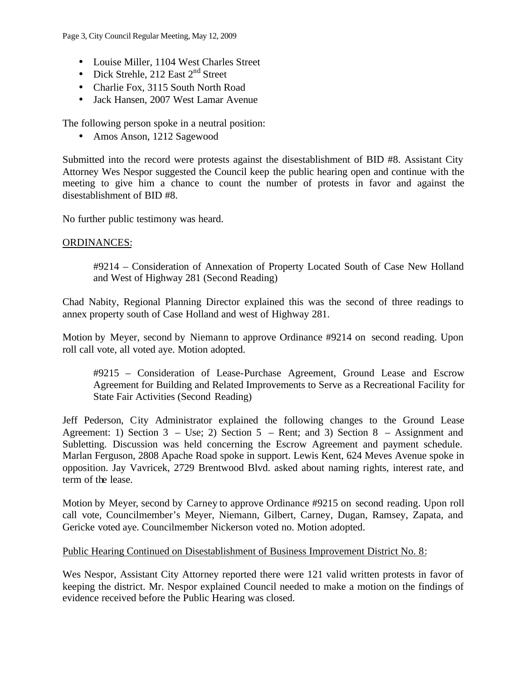Page 3, City Council Regular Meeting, May 12, 2009

- Louise Miller, 1104 West Charles Street
- Dick Strehle, 212 East  $2<sup>nd</sup>$  Street
- Charlie Fox, 3115 South North Road
- Jack Hansen, 2007 West Lamar Avenue

The following person spoke in a neutral position:

• Amos Anson, 1212 Sagewood

Submitted into the record were protests against the disestablishment of BID #8. Assistant City Attorney Wes Nespor suggested the Council keep the public hearing open and continue with the meeting to give him a chance to count the number of protests in favor and against the disestablishment of BID #8.

No further public testimony was heard.

#### ORDINANCES:

#9214 – Consideration of Annexation of Property Located South of Case New Holland and West of Highway 281 (Second Reading)

Chad Nabity, Regional Planning Director explained this was the second of three readings to annex property south of Case Holland and west of Highway 281.

Motion by Meyer, second by Niemann to approve Ordinance #9214 on second reading. Upon roll call vote, all voted aye. Motion adopted.

#9215 – Consideration of Lease-Purchase Agreement, Ground Lease and Escrow Agreement for Building and Related Improvements to Serve as a Recreational Facility for State Fair Activities (Second Reading)

Jeff Pederson, City Administrator explained the following changes to the Ground Lease Agreement: 1) Section  $3 - Use$ ; 2) Section  $5 - Ren$ ; and 3) Section  $8 - Assignment$  and Subletting. Discussion was held concerning the Escrow Agreement and payment schedule. Marlan Ferguson, 2808 Apache Road spoke in support. Lewis Kent, 624 Meves Avenue spoke in opposition. Jay Vavricek, 2729 Brentwood Blvd. asked about naming rights, interest rate, and term of the lease.

Motion by Meyer, second by Carney to approve Ordinance #9215 on second reading. Upon roll call vote, Councilmember's Meyer, Niemann, Gilbert, Carney, Dugan, Ramsey, Zapata, and Gericke voted aye. Councilmember Nickerson voted no. Motion adopted.

# Public Hearing Continued on Disestablishment of Business Improvement District No. 8:

Wes Nespor, Assistant City Attorney reported there were 121 valid written protests in favor of keeping the district. Mr. Nespor explained Council needed to make a motion on the findings of evidence received before the Public Hearing was closed.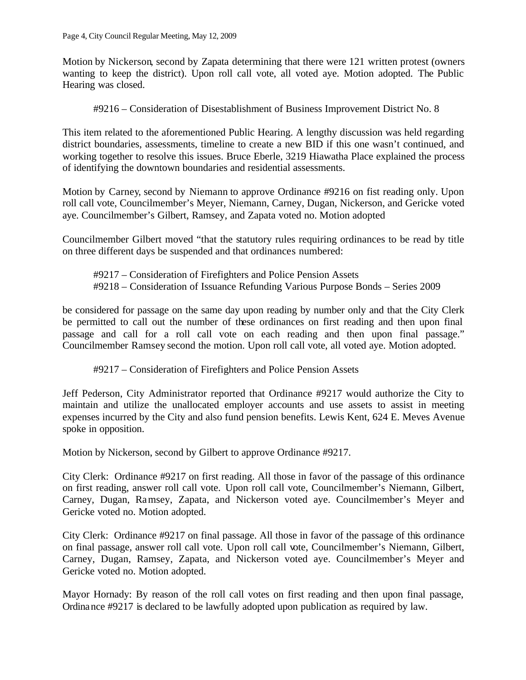Motion by Nickerson, second by Zapata determining that there were 121 written protest (owners wanting to keep the district). Upon roll call vote, all voted aye. Motion adopted. The Public Hearing was closed.

#9216 – Consideration of Disestablishment of Business Improvement District No. 8

This item related to the aforementioned Public Hearing. A lengthy discussion was held regarding district boundaries, assessments, timeline to create a new BID if this one wasn't continued, and working together to resolve this issues. Bruce Eberle, 3219 Hiawatha Place explained the process of identifying the downtown boundaries and residential assessments.

Motion by Carney, second by Niemann to approve Ordinance #9216 on fist reading only. Upon roll call vote, Councilmember's Meyer, Niemann, Carney, Dugan, Nickerson, and Gericke voted aye. Councilmember's Gilbert, Ramsey, and Zapata voted no. Motion adopted

Councilmember Gilbert moved "that the statutory rules requiring ordinances to be read by title on three different days be suspended and that ordinances numbered:

#9217 – Consideration of Firefighters and Police Pension Assets #9218 – Consideration of Issuance Refunding Various Purpose Bonds – Series 2009

be considered for passage on the same day upon reading by number only and that the City Clerk be permitted to call out the number of these ordinances on first reading and then upon final passage and call for a roll call vote on each reading and then upon final passage." Councilmember Ramsey second the motion. Upon roll call vote, all voted aye. Motion adopted.

#9217 – Consideration of Firefighters and Police Pension Assets

Jeff Pederson, City Administrator reported that Ordinance #9217 would authorize the City to maintain and utilize the unallocated employer accounts and use assets to assist in meeting expenses incurred by the City and also fund pension benefits. Lewis Kent, 624 E. Meves Avenue spoke in opposition.

Motion by Nickerson, second by Gilbert to approve Ordinance #9217.

City Clerk: Ordinance #9217 on first reading. All those in favor of the passage of this ordinance on first reading, answer roll call vote. Upon roll call vote, Councilmember's Niemann, Gilbert, Carney, Dugan, Ramsey, Zapata, and Nickerson voted aye. Councilmember's Meyer and Gericke voted no. Motion adopted.

City Clerk: Ordinance #9217 on final passage. All those in favor of the passage of this ordinance on final passage, answer roll call vote. Upon roll call vote, Councilmember's Niemann, Gilbert, Carney, Dugan, Ramsey, Zapata, and Nickerson voted aye. Councilmember's Meyer and Gericke voted no. Motion adopted.

Mayor Hornady: By reason of the roll call votes on first reading and then upon final passage, Ordinance #9217 is declared to be lawfully adopted upon publication as required by law.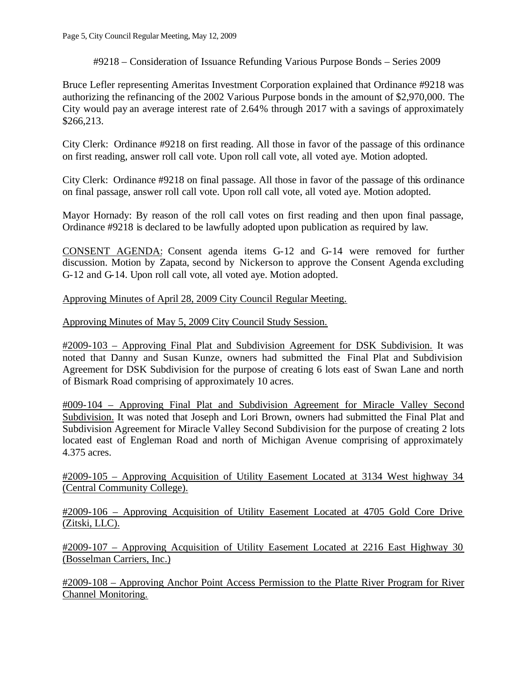# #9218 – Consideration of Issuance Refunding Various Purpose Bonds – Series 2009

Bruce Lefler representing Ameritas Investment Corporation explained that Ordinance #9218 was authorizing the refinancing of the 2002 Various Purpose bonds in the amount of \$2,970,000. The City would pay an average interest rate of 2.64% through 2017 with a savings of approximately \$266,213.

City Clerk: Ordinance #9218 on first reading. All those in favor of the passage of this ordinance on first reading, answer roll call vote. Upon roll call vote, all voted aye. Motion adopted.

City Clerk: Ordinance #9218 on final passage. All those in favor of the passage of this ordinance on final passage, answer roll call vote. Upon roll call vote, all voted aye. Motion adopted.

Mayor Hornady: By reason of the roll call votes on first reading and then upon final passage, Ordinance #9218 is declared to be lawfully adopted upon publication as required by law.

CONSENT AGENDA: Consent agenda items G-12 and G-14 were removed for further discussion. Motion by Zapata, second by Nickerson to approve the Consent Agenda excluding G-12 and G-14. Upon roll call vote, all voted aye. Motion adopted.

Approving Minutes of April 28, 2009 City Council Regular Meeting.

Approving Minutes of May 5, 2009 City Council Study Session.

#2009-103 – Approving Final Plat and Subdivision Agreement for DSK Subdivision. It was noted that Danny and Susan Kunze, owners had submitted the Final Plat and Subdivision Agreement for DSK Subdivision for the purpose of creating 6 lots east of Swan Lane and north of Bismark Road comprising of approximately 10 acres.

#009-104 – Approving Final Plat and Subdivision Agreement for Miracle Valley Second Subdivision. It was noted that Joseph and Lori Brown, owners had submitted the Final Plat and Subdivision Agreement for Miracle Valley Second Subdivision for the purpose of creating 2 lots located east of Engleman Road and north of Michigan Avenue comprising of approximately 4.375 acres.

#2009-105 – Approving Acquisition of Utility Easement Located at 3134 West highway 34 (Central Community College).

#2009-106 – Approving Acquisition of Utility Easement Located at 4705 Gold Core Drive (Zitski, LLC).

#2009-107 – Approving Acquisition of Utility Easement Located at 2216 East Highway 30 (Bosselman Carriers, Inc.)

#2009-108 – Approving Anchor Point Access Permission to the Platte River Program for River Channel Monitoring.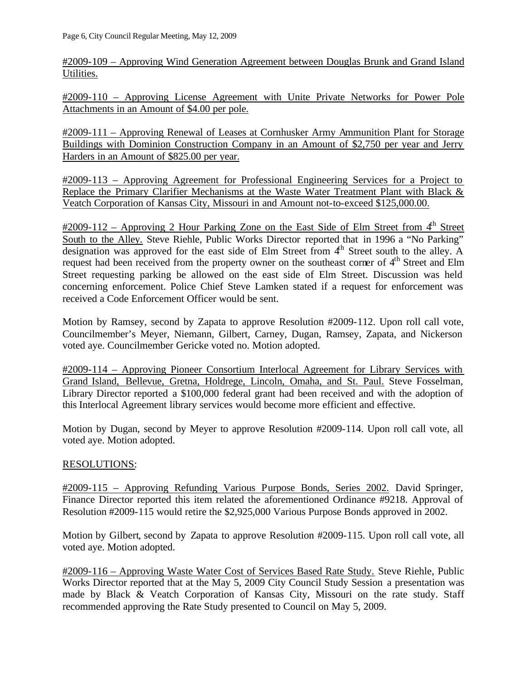#2009-109 – Approving Wind Generation Agreement between Douglas Brunk and Grand Island Utilities.

#2009-110 – Approving License Agreement with Unite Private Networks for Power Pole Attachments in an Amount of \$4.00 per pole.

#2009-111 – Approving Renewal of Leases at Cornhusker Army Ammunition Plant for Storage Buildings with Dominion Construction Company in an Amount of \$2,750 per year and Jerry Harders in an Amount of \$825.00 per year.

#2009-113 – Approving Agreement for Professional Engineering Services for a Project to Replace the Primary Clarifier Mechanisms at the Waste Water Treatment Plant with Black & Veatch Corporation of Kansas City, Missouri in and Amount not-to-exceed \$125,000.00.

 $\text{\#2009-112 - Approxing 2}$  Hour Parking Zone on the East Side of Elm Street from  $4^{\text{th}}$  Street South to the Alley. Steve Riehle, Public Works Director reported that in 1996 a "No Parking" designation was approved for the east side of Elm Street from  $4<sup>th</sup>$  Street south to the alley. A request had been received from the property owner on the southeast corner of 4<sup>th</sup> Street and Elm Street requesting parking be allowed on the east side of Elm Street. Discussion was held concerning enforcement. Police Chief Steve Lamken stated if a request for enforcement was received a Code Enforcement Officer would be sent.

Motion by Ramsey, second by Zapata to approve Resolution #2009-112. Upon roll call vote, Councilmember's Meyer, Niemann, Gilbert, Carney, Dugan, Ramsey, Zapata, and Nickerson voted aye. Councilmember Gericke voted no. Motion adopted.

#2009-114 – Approving Pioneer Consortium Interlocal Agreement for Library Services with Grand Island, Bellevue, Gretna, Holdrege, Lincoln, Omaha, and St. Paul. Steve Fosselman, Library Director reported a \$100,000 federal grant had been received and with the adoption of this Interlocal Agreement library services would become more efficient and effective.

Motion by Dugan, second by Meyer to approve Resolution #2009-114. Upon roll call vote, all voted aye. Motion adopted.

# RESOLUTIONS:

#2009-115 – Approving Refunding Various Purpose Bonds, Series 2002. David Springer, Finance Director reported this item related the aforementioned Ordinance #9218. Approval of Resolution #2009-115 would retire the \$2,925,000 Various Purpose Bonds approved in 2002.

Motion by Gilbert, second by Zapata to approve Resolution #2009-115. Upon roll call vote, all voted aye. Motion adopted.

#2009-116 – Approving Waste Water Cost of Services Based Rate Study. Steve Riehle, Public Works Director reported that at the May 5, 2009 City Council Study Session a presentation was made by Black & Veatch Corporation of Kansas City, Missouri on the rate study. Staff recommended approving the Rate Study presented to Council on May 5, 2009.